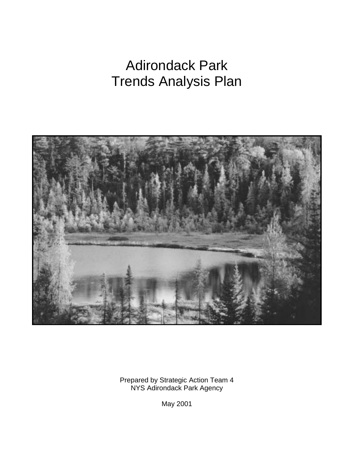# Adirondack Park Trends Analysis Plan



Prepared by Strategic Action Team 4 NYS Adirondack Park Agency

May 2001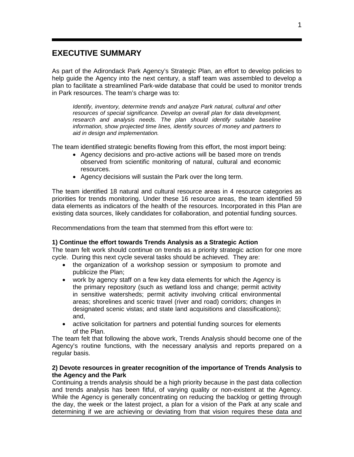## **EXECUTIVE SUMMARY**

As part of the Adirondack Park Agency's Strategic Plan, an effort to develop policies to help guide the Agency into the next century, a staff team was assembled to develop a plan to facilitate a streamlined Park-wide database that could be used to monitor trends in Park resources. The team's charge was to:

*Identify, inventory, determine trends and analyze Park natural, cultural and other resources of special significance. Develop an overall plan for data development, research and analysis needs. The plan should identify suitable baseline information, show projected time lines, identify sources of money and partners to aid in design and implementation.* 

The team identified strategic benefits flowing from this effort, the most import being:

- Agency decisions and pro-active actions will be based more on trends observed from scientific monitoring of natural, cultural and economic resources.
- Agency decisions will sustain the Park over the long term.

The team identified 18 natural and cultural resource areas in 4 resource categories as priorities for trends monitoring. Under these 16 resource areas, the team identified 59 data elements as indicators of the health of the resources. Incorporated in this Plan are existing data sources, likely candidates for collaboration, and potential funding sources.

Recommendations from the team that stemmed from this effort were to:

#### **1) Continue the effort towards Trends Analysis as a Strategic Action**

The team felt work should continue on trends as a priority strategic action for one more cycle. During this next cycle several tasks should be achieved. They are:

- the organization of a workshop session or symposium to promote and publicize the Plan;
- work by agency staff on a few key data elements for which the Agency is the primary repository (such as wetland loss and change; permit activity in sensitive watersheds; permit activity involving critical environmental areas; shorelines and scenic travel (river and road) corridors; changes in designated scenic vistas; and state land acquisitions and classifications); and,
- active solicitation for partners and potential funding sources for elements of the Plan.

The team felt that following the above work, Trends Analysis should become one of the Agency's routine functions, with the necessary analysis and reports prepared on a regular basis.

#### **2) Devote resources in greater recognition of the importance of Trends Analysis to the Agency and the Park**

Continuing a trends analysis should be a high priority because in the past data collection and trends analysis has been fitful, of varying quality or non-existent at the Agency. While the Agency is generally concentrating on reducing the backlog or getting through the day, the week or the latest project, a plan for a vision of the Park at any scale and determining if we are achieving or deviating from that vision requires these data and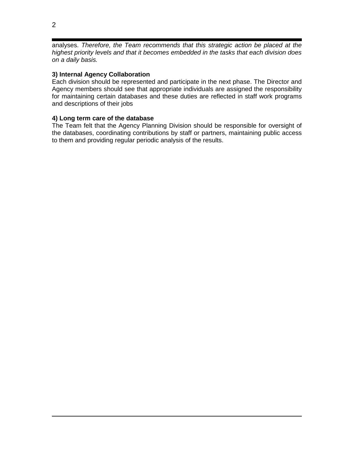analyses. *Therefore, the Team recommends that this strategic action be placed at the highest priority levels and that it becomes embedded in the tasks that each division does on a daily basis.*

#### **3) Internal Agency Collaboration**

Each division should be represented and participate in the next phase. The Director and Agency members should see that appropriate individuals are assigned the responsibility for maintaining certain databases and these duties are reflected in staff work programs and descriptions of their jobs

#### **4) Long term care of the database**

The Team felt that the Agency Planning Division should be responsible for oversight of the databases, coordinating contributions by staff or partners, maintaining public access to them and providing regular periodic analysis of the results.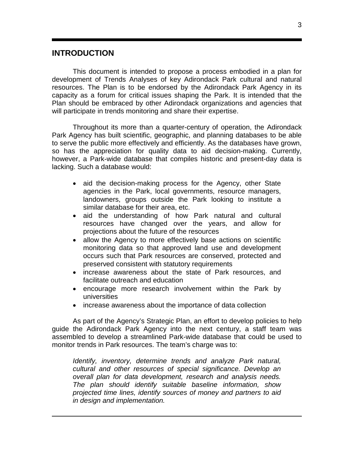## **INTRODUCTION**

This document is intended to propose a process embodied in a plan for development of Trends Analyses of key Adirondack Park cultural and natural resources. The Plan is to be endorsed by the Adirondack Park Agency in its capacity as a forum for critical issues shaping the Park. It is intended that the Plan should be embraced by other Adirondack organizations and agencies that will participate in trends monitoring and share their expertise.

Throughout its more than a quarter-century of operation, the Adirondack Park Agency has built scientific, geographic, and planning databases to be able to serve the public more effectively and efficiently. As the databases have grown, so has the appreciation for quality data to aid decision-making. Currently, however, a Park-wide database that compiles historic and present-day data is lacking. Such a database would:

- aid the decision-making process for the Agency, other State agencies in the Park, local governments, resource managers, landowners, groups outside the Park looking to institute a similar database for their area, etc.
- aid the understanding of how Park natural and cultural resources have changed over the years, and allow for projections about the future of the resources
- allow the Agency to more effectively base actions on scientific monitoring data so that approved land use and development occurs such that Park resources are conserved, protected and preserved consistent with statutory requirements
- increase awareness about the state of Park resources, and facilitate outreach and education
- encourage more research involvement within the Park by universities
- increase awareness about the importance of data collection

As part of the Agency's Strategic Plan, an effort to develop policies to help guide the Adirondack Park Agency into the next century, a staff team was assembled to develop a streamlined Park-wide database that could be used to monitor trends in Park resources. The team's charge was to:

*Identify, inventory, determine trends and analyze Park natural, cultural and other resources of special significance. Develop an overall plan for data development, research and analysis needs. The plan should identify suitable baseline information, show projected time lines, identify sources of money and partners to aid in design and implementation.*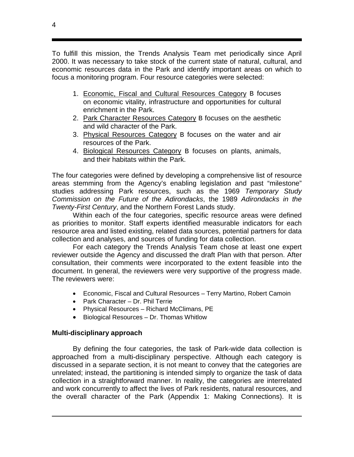To fulfill this mission, the Trends Analysis Team met periodically since April 2000. It was necessary to take stock of the current state of natural, cultural, and economic resources data in the Park and identify important areas on which to focus a monitoring program. Four resource categories were selected:

- 1. Economic, Fiscal and Cultural Resources Category B focuses on economic vitality, infrastructure and opportunities for cultural enrichment in the Park.
- 2. Park Character Resources Category B focuses on the aesthetic and wild character of the Park.
- 3. Physical Resources Category B focuses on the water and air resources of the Park.
- 4. Biological Resources Category B focuses on plants, animals, and their habitats within the Park.

The four categories were defined by developing a comprehensive list of resource areas stemming from the Agency's enabling legislation and past "milestone" studies addressing Park resources, such as the 1969 *Temporary Study Commission on the Future of the Adirondacks*, the 1989 *Adirondacks in the Twenty-First Century*, and the Northern Forest Lands study.

Within each of the four categories, specific resource areas were defined as priorities to monitor. Staff experts identified measurable indicators for each resource area and listed existing, related data sources, potential partners for data collection and analyses, and sources of funding for data collection.

For each category the Trends Analysis Team chose at least one expert reviewer outside the Agency and discussed the draft Plan with that person. After consultation, their comments were incorporated to the extent feasible into the document. In general, the reviewers were very supportive of the progress made. The reviewers were:

- Economic, Fiscal and Cultural Resources Terry Martino, Robert Camoin
- Park Character Dr. Phil Terrie
- Physical Resources Richard McClimans, PE
- Biological Resources Dr. Thomas Whitlow

## **Multi-disciplinary approach**

By defining the four categories, the task of Park-wide data collection is approached from a multi-disciplinary perspective. Although each category is discussed in a separate section, it is not meant to convey that the categories are unrelated; instead, the partitioning is intended simply to organize the task of data collection in a straightforward manner. In reality, the categories are interrelated and work concurrently to affect the lives of Park residents, natural resources, and the overall character of the Park (Appendix 1: Making Connections). It is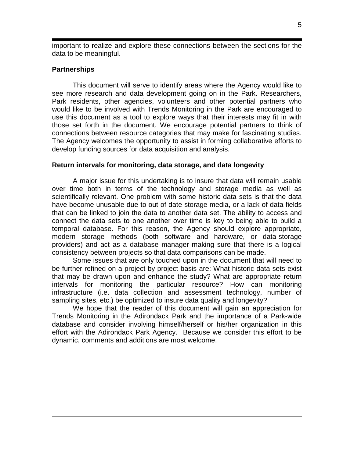important to realize and explore these connections between the sections for the data to be meaningful.

### **Partnerships**

This document will serve to identify areas where the Agency would like to see more research and data development going on in the Park. Researchers, Park residents, other agencies, volunteers and other potential partners who would like to be involved with Trends Monitoring in the Park are encouraged to use this document as a tool to explore ways that their interests may fit in with those set forth in the document. We encourage potential partners to think of connections between resource categories that may make for fascinating studies. The Agency welcomes the opportunity to assist in forming collaborative efforts to develop funding sources for data acquisition and analysis.

### **Return intervals for monitoring, data storage, and data longevity**

A major issue for this undertaking is to insure that data will remain usable over time both in terms of the technology and storage media as well as scientifically relevant. One problem with some historic data sets is that the data have become unusable due to out-of-date storage media, or a lack of data fields that can be linked to join the data to another data set. The ability to access and connect the data sets to one another over time is key to being able to build a temporal database. For this reason, the Agency should explore appropriate, modern storage methods (both software and hardware, or data-storage providers) and act as a database manager making sure that there is a logical consistency between projects so that data comparisons can be made.

Some issues that are only touched upon in the document that will need to be further refined on a project-by-project basis are: What historic data sets exist that may be drawn upon and enhance the study? What are appropriate return intervals for monitoring the particular resource? How can monitoring infrastructure (i.e. data collection and assessment technology, number of sampling sites, etc.) be optimized to insure data quality and longevity?

We hope that the reader of this document will gain an appreciation for Trends Monitoring in the Adirondack Park and the importance of a Park-wide database and consider involving himself/herself or his/her organization in this effort with the Adirondack Park Agency. Because we consider this effort to be dynamic, comments and additions are most welcome.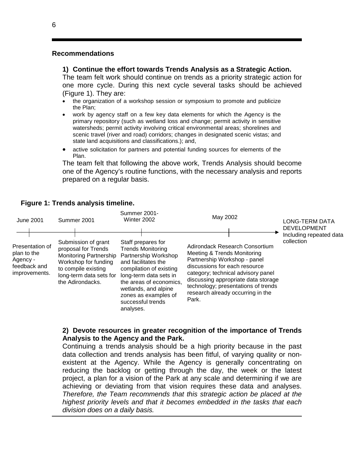#### **Recommendations**

#### **1) Continue the effort towards Trends Analysis as a Strategic Action.**

The team felt work should continue on trends as a priority strategic action for one more cycle. During this next cycle several tasks should be achieved (Figure 1). They are:

- the organization of a workshop session or symposium to promote and publicize the Plan;
- work by agency staff on a few key data elements for which the Agency is the primary repository (such as wetland loss and change; permit activity in sensitive watersheds; permit activity involving critical environmental areas; shorelines and scenic travel (river and road) corridors; changes in designated scenic vistas; and state land acquisitions and classifications.); and,
- active solicitation for partners and potential funding sources for elements of the Plan.

The team felt that following the above work, Trends Analysis should become one of the Agency's routine functions, with the necessary analysis and reports prepared on a regular basis.



## **Figure 1: Trends analysis timeline.**

#### **2) Devote resources in greater recognition of the importance of Trends Analysis to the Agency and the Park.**

Continuing a trends analysis should be a high priority because in the past data collection and trends analysis has been fitful, of varying quality or nonexistent at the Agency. While the Agency is generally concentrating on reducing the backlog or getting through the day, the week or the latest project, a plan for a vision of the Park at any scale and determining if we are achieving or deviating from that vision requires these data and analyses. *Therefore, the Team recommends that this strategic action be placed at the highest priority levels and that it becomes embedded in the tasks that each division does on a daily basis.*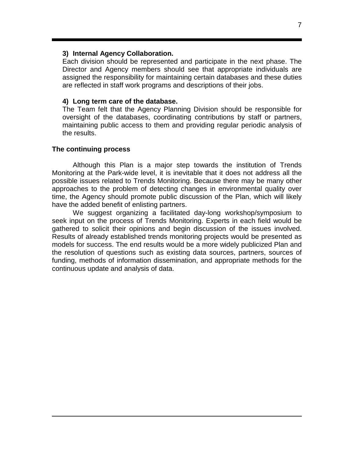#### **3) Internal Agency Collaboration.**

Each division should be represented and participate in the next phase. The Director and Agency members should see that appropriate individuals are assigned the responsibility for maintaining certain databases and these duties are reflected in staff work programs and descriptions of their jobs.

#### **4) Long term care of the database.**

The Team felt that the Agency Planning Division should be responsible for oversight of the databases, coordinating contributions by staff or partners, maintaining public access to them and providing regular periodic analysis of the results.

#### **The continuing process**

Although this Plan is a major step towards the institution of Trends Monitoring at the Park-wide level, it is inevitable that it does not address all the possible issues related to Trends Monitoring. Because there may be many other approaches to the problem of detecting changes in environmental quality over time, the Agency should promote public discussion of the Plan, which will likely have the added benefit of enlisting partners.

We suggest organizing a facilitated day-long workshop/symposium to seek input on the process of Trends Monitoring. Experts in each field would be gathered to solicit their opinions and begin discussion of the issues involved. Results of already established trends monitoring projects would be presented as models for success. The end results would be a more widely publicized Plan and the resolution of questions such as existing data sources, partners, sources of funding, methods of information dissemination, and appropriate methods for the continuous update and analysis of data.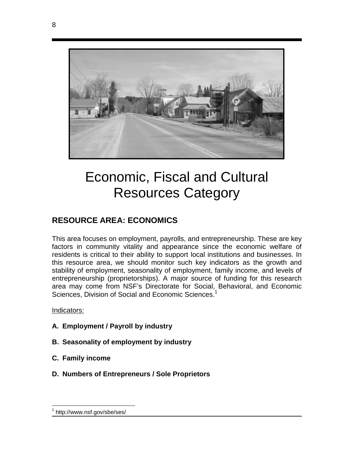

# Economic, Fiscal and Cultural Resources Category

# **RESOURCE AREA: ECONOMICS**

This area focuses on employment, payrolls, and entrepreneurship. These are key factors in community vitality and appearance since the economic welfare of residents is critical to their ability to support local institutions and businesses. In this resource area, we should monitor such key indicators as the growth and stability of employment, seasonality of employment, family income, and levels of entrepreneurship (proprietorships). A major source of funding for this research area may come from NSF's Directorate for Social, Behavioral, and Economic Sciences, Division of Social and Economic Sciences.<sup>1</sup>

Indicators:

1

- **A. Employment / Payroll by industry**
- **B. Seasonality of employment by industry**
- **C. Family income**
- **D. Numbers of Entrepreneurs / Sole Proprietors**

<sup>1</sup> http://www.nsf.gov/sbe/ses/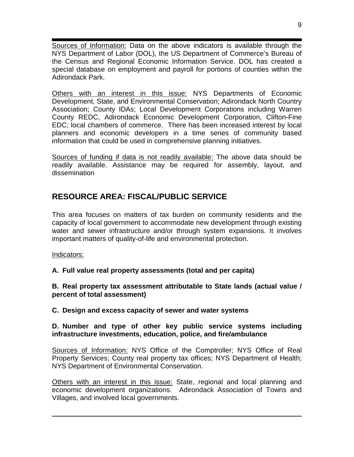Sources of Information: Data on the above indicators is available through the NYS Department of Labor (DOL), the US Department of Commerce's Bureau of the Census and Regional Economic Information Service. DOL has created a special database on employment and payroll for portions of counties within the Adirondack Park.

Others with an interest in this issue: NYS Departments of Economic Development, State, and Environmental Conservation; Adirondack North Country Association; County IDAs; Local Development Corporations including Warren County REDC, Adirondack Economic Development Corporation, Clifton-Fine EDC; local chambers of commerce. There has been increased interest by local planners and economic developers in a time series of community based information that could be used in comprehensive planning initiatives.

Sources of funding if data is not readily available: The above data should be readily available. Assistance may be required for assembly, layout, and dissemination

# **RESOURCE AREA: FISCAL/PUBLIC SERVICE**

This area focuses on matters of tax burden on community residents and the capacity of local government to accommodate new development through existing water and sewer infrastructure and/or through system expansions. It involves important matters of quality-of-life and environmental protection.

Indicators:

**A. Full value real property assessments (total and per capita)** 

**B. Real property tax assessment attributable to State lands (actual value / percent of total assessment)** 

**C. Design and excess capacity of sewer and water systems** 

**D. Number and type of other key public service systems including infrastructure investments, education, police, and fire/ambulance** 

Sources of Information: NYS Office of the Comptroller; NYS Office of Real Property Services; County real property tax offices; NYS Department of Health; NYS Department of Environmental Conservation.

Others with an interest in this issue: State, regional and local planning and economic development organizations. Adirondack Association of Towns and Villages, and involved local governments.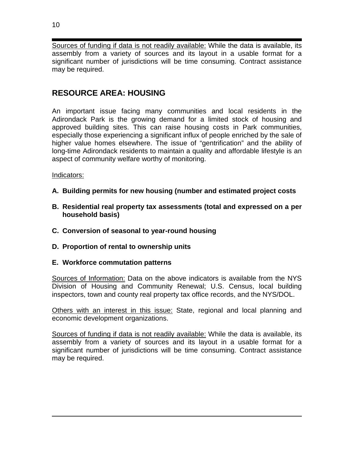Sources of funding if data is not readily available: While the data is available, its assembly from a variety of sources and its layout in a usable format for a significant number of jurisdictions will be time consuming. Contract assistance may be required.

# **RESOURCE AREA: HOUSING**

An important issue facing many communities and local residents in the Adirondack Park is the growing demand for a limited stock of housing and approved building sites. This can raise housing costs in Park communities, especially those experiencing a significant influx of people enriched by the sale of higher value homes elsewhere. The issue of "gentrification" and the ability of long-time Adirondack residents to maintain a quality and affordable lifestyle is an aspect of community welfare worthy of monitoring.

## Indicators:

- **A. Building permits for new housing (number and estimated project costs**
- **B. Residential real property tax assessments (total and expressed on a per household basis)**
- **C. Conversion of seasonal to year-round housing**
- **D. Proportion of rental to ownership units**

## **E. Workforce commutation patterns**

Sources of Information: Data on the above indicators is available from the NYS Division of Housing and Community Renewal; U.S. Census, local building inspectors, town and county real property tax office records, and the NYS/DOL.

Others with an interest in this issue: State, regional and local planning and economic development organizations.

Sources of funding if data is not readily available: While the data is available, its assembly from a variety of sources and its layout in a usable format for a significant number of jurisdictions will be time consuming. Contract assistance may be required.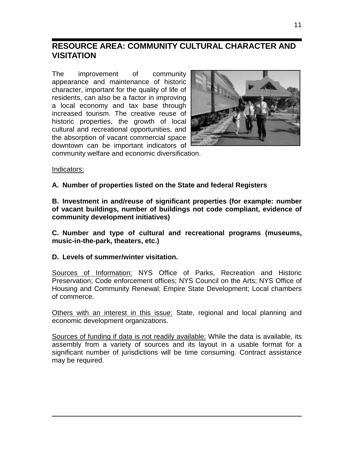# **RESOURCE AREA: COMMUNITY CULTURAL CHARACTER AND VISITATION**

The improvement of community appearance and maintenance of historic character, important for the quality of life of residents, can also be a factor in improving a local economy and tax base through increased tourism. The creative reuse of historic properties, the growth of local cultural and recreational opportunities, and the absorption of vacant commercial space downtown can be important indicators of



community welfare and economic diversification.

### Indicators:

**A. Number of properties listed on the State and federal Registers** 

**B. Investment in and/reuse of significant properties (for example: number of vacant buildings, number of buildings not code compliant, evidence of community development initiatives)** 

**C. Number and type of cultural and recreational programs (museums, music-in-the-park, theaters, etc.)** 

**D. Levels of summer/winter visitation.** 

Sources of Information: NYS Office of Parks, Recreation and Historic Preservation; Code enforcement offices; NYS Council on the Arts; NYS Office of Housing and Community Renewal; Empire State Development; Local chambers of commerce.

Others with an interest in this issue: State, regional and local planning and economic development organizations.

Sources of funding if data is not readily available: While the data is available, its assembly from a variety of sources and its layout in a usable format for a significant number of jurisdictions will be time consuming. Contract assistance may be required.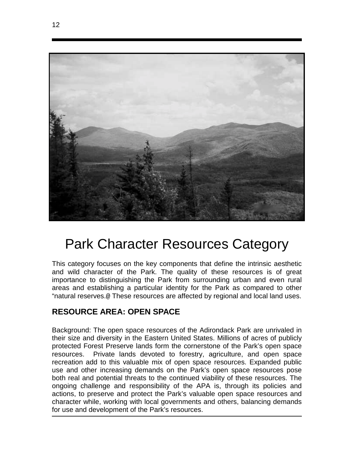

# Park Character Resources Category

This category focuses on the key components that define the intrinsic aesthetic and wild character of the Park. The quality of these resources is of great importance to distinguishing the Park from surrounding urban and even rural areas and establishing a particular identity for the Park as compared to other "natural reserves.@ These resources are affected by regional and local land uses.

# **RESOURCE AREA: OPEN SPACE**

Background: The open space resources of the Adirondack Park are unrivaled in their size and diversity in the Eastern United States. Millions of acres of publicly protected Forest Preserve lands form the cornerstone of the Park's open space resources. Private lands devoted to forestry, agriculture, and open space recreation add to this valuable mix of open space resources. Expanded public use and other increasing demands on the Park's open space resources pose both real and potential threats to the continued viability of these resources. The ongoing challenge and responsibility of the APA is, through its policies and actions, to preserve and protect the Park's valuable open space resources and character while, working with local governments and others, balancing demands for use and development of the Park's resources.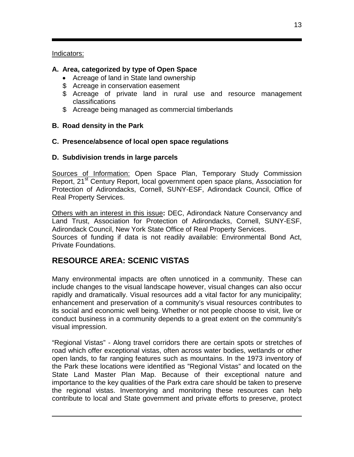Indicators:

# **A. Area, categorized by type of Open Space**

- Acreage of land in State land ownership
- \$ Acreage in conservation easement
- \$ Acreage of private land in rural use and resource management classifications
- \$ Acreage being managed as commercial timberlands

# **B. Road density in the Park**

## **C. Presence/absence of local open space regulations**

## **D. Subdivision trends in large parcels**

Sources of Information: Open Space Plan, Temporary Study Commission Report, 21<sup>st</sup> Century Report, local government open space plans, Association for Protection of Adirondacks, Cornell, SUNY-ESF, Adirondack Council, Office of Real Property Services.

Others with an interest in this issue**:** DEC, Adirondack Nature Conservancy and Land Trust, Association for Protection of Adirondacks, Cornell, SUNY-ESF, Adirondack Council, New York State Office of Real Property Services. Sources of funding if data is not readily available: Environmental Bond Act, Private Foundations.

# **RESOURCE AREA: SCENIC VISTAS**

Many environmental impacts are often unnoticed in a community. These can include changes to the visual landscape however, visual changes can also occur rapidly and dramatically. Visual resources add a vital factor for any municipality; enhancement and preservation of a community's visual resources contributes to its social and economic well being. Whether or not people choose to visit, live or conduct business in a community depends to a great extent on the community's visual impression.

"Regional Vistas" - Along travel corridors there are certain spots or stretches of road which offer exceptional vistas, often across water bodies, wetlands or other open lands, to far ranging features such as mountains. In the 1973 inventory of the Park these locations were identified as "Regional Vistas" and located on the State Land Master Plan Map. Because of their exceptional nature and importance to the key qualities of the Park extra care should be taken to preserve the regional vistas. Inventorying and monitoring these resources can help contribute to local and State government and private efforts to preserve, protect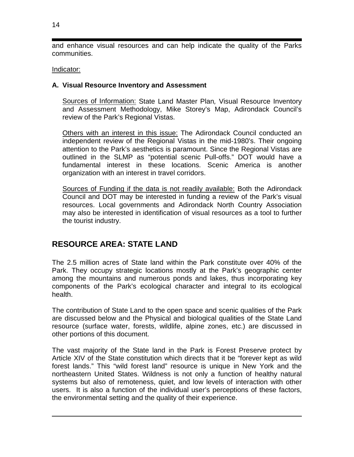and enhance visual resources and can help indicate the quality of the Parks communities.

## Indicator:

## **A. Visual Resource Inventory and Assessment**

Sources of Information: State Land Master Plan*,* Visual Resource Inventory and Assessment Methodology, Mike Storey's Map, Adirondack Council's review of the Park's Regional Vistas.

Others with an interest in this issue: The Adirondack Council conducted an independent review of the Regional Vistas in the mid-1980's. Their ongoing attention to the Park's aesthetics is paramount. Since the Regional Vistas are outlined in the SLMP as "potential scenic Pull-offs." DOT would have a fundamental interest in these locations. Scenic America is another organization with an interest in travel corridors.

Sources of Funding if the data is not readily available: Both the Adirondack Council and DOT may be interested in funding a review of the Park's visual resources. Local governments and Adirondack North Country Association may also be interested in identification of visual resources as a tool to further the tourist industry.

# **RESOURCE AREA: STATE LAND**

The 2.5 million acres of State land within the Park constitute over 40% of the Park. They occupy strategic locations mostly at the Park's geographic center among the mountains and numerous ponds and lakes, thus incorporating key components of the Park's ecological character and integral to its ecological health.

The contribution of State Land to the open space and scenic qualities of the Park are discussed below and the Physical and biological qualities of the State Land resource (surface water, forests, wildlife, alpine zones, etc.) are discussed in other portions of this document.

The vast majority of the State land in the Park is Forest Preserve protect by Article XIV of the State constitution which directs that it be "forever kept as wild forest lands." This "wild forest land" resource is unique in New York and the northeastern United States. Wildness is not only a function of healthy natural systems but also of remoteness, quiet, and low levels of interaction with other users. It is also a function of the individual user's perceptions of these factors, the environmental setting and the quality of their experience.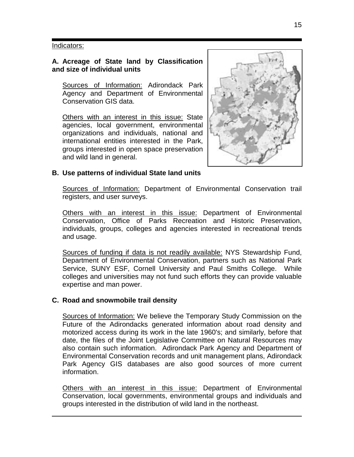#### Indicators:

### **A. Acreage of State land by Classification and size of individual units**

Sources of Information: Adirondack Park Agency and Department of Environmental Conservation GIS data.

Others with an interest in this issue: State agencies, local government, environmental organizations and individuals, national and international entities interested in the Park, groups interested in open space preservation and wild land in general.



## **B. Use patterns of individual State land units**

Sources of Information: Department of Environmental Conservation trail registers, and user surveys.

Others with an interest in this issue: Department of Environmental Conservation, Office of Parks Recreation and Historic Preservation, individuals, groups, colleges and agencies interested in recreational trends and usage.

Sources of funding if data is not readily available: NYS Stewardship Fund, Department of Environmental Conservation, partners such as National Park Service, SUNY ESF, Cornell University and Paul Smiths College. While colleges and universities may not fund such efforts they can provide valuable expertise and man power.

#### **C. Road and snowmobile trail density**

Sources of Information: We believe the Temporary Study Commission on the Future of the Adirondacks generated information about road density and motorized access during its work in the late 1960's; and similarly, before that date, the files of the Joint Legislative Committee on Natural Resources may also contain such information. Adirondack Park Agency and Department of Environmental Conservation records and unit management plans, Adirondack Park Agency GIS databases are also good sources of more current information.

Others with an interest in this issue: Department of Environmental Conservation, local governments, environmental groups and individuals and groups interested in the distribution of wild land in the northeast.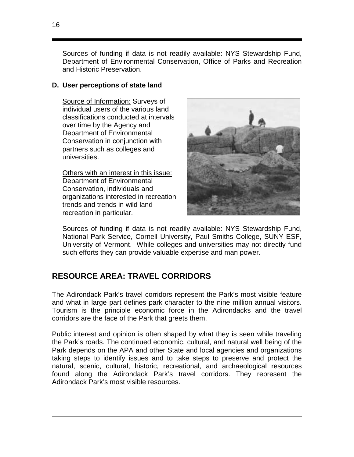Sources of funding if data is not readily available: NYS Stewardship Fund, Department of Environmental Conservation, Office of Parks and Recreation and Historic Preservation.

## **D. User perceptions of state land**

Source of Information: Surveys of individual users of the various land classifications conducted at intervals over time by the Agency and Department of Environmental Conservation in conjunction with partners such as colleges and universities.

Others with an interest in this issue: Department of Environmental Conservation, individuals and organizations interested in recreation trends and trends in wild land recreation in particular.



Sources of funding if data is not readily available: NYS Stewardship Fund, National Park Service, Cornell University, Paul Smiths College, SUNY ESF, University of Vermont. While colleges and universities may not directly fund such efforts they can provide valuable expertise and man power.

# **RESOURCE AREA: TRAVEL CORRIDORS**

The Adirondack Park's travel corridors represent the Park's most visible feature and what in large part defines park character to the nine million annual visitors. Tourism is the principle economic force in the Adirondacks and the travel corridors are the face of the Park that greets them.

Public interest and opinion is often shaped by what they is seen while traveling the Park's roads. The continued economic, cultural, and natural well being of the Park depends on the APA and other State and local agencies and organizations taking steps to identify issues and to take steps to preserve and protect the natural, scenic, cultural, historic, recreational, and archaeological resources found along the Adirondack Park's travel corridors. They represent the Adirondack Park's most visible resources.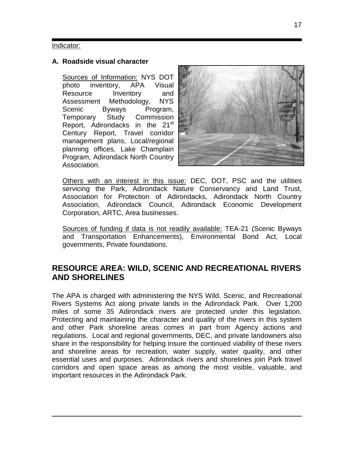#### Indicator:

### **A. Roadside visual character**

Sources of Information: NYS DOT photo inventory, APA Visual Resource Inventory and Assessment Methodology, NYS Scenic Byways Program, Temporary Study Commission Report, Adirondacks in the 21<sup>st</sup> Century Report, Travel corridor management plans, Local/regional planning offices, Lake Champlain Program, Adirondack North Country Association.



Others with an interest in this issue: DEC, DOT, PSC and the utilities servicing the Park, Adirondack Nature Conservancy and Land Trust, Association for Protection of Adirondacks, Adirondack North Country Association, Adirondack Council, Adirondack Economic Development Corporation, ARTC, Area businesses.

Sources of funding if data is not readily available: TEA-21 (Scenic Byways and Transportation Enhancements), Environmental Bond Act, Local governments, Private foundations.

# **RESOURCE AREA: WILD, SCENIC AND RECREATIONAL RIVERS AND SHORELINES**

The APA is charged with administering the NYS Wild, Scenic, and Recreational Rivers Systems Act along private lands in the Adirondack Park. Over 1,200 miles of some 35 Adirondack rivers are protected under this legislation. Protecting and maintaining the character and quality of the rivers in this system and other Park shoreline areas comes in part from Agency actions and regulations. Local and regional governments, DEC, and private landowners also share in the responsibility for helping insure the continued viability of these rivers and shoreline areas for recreation, water supply, water quality, and other essential uses and purposes. Adirondack rivers and shorelines join Park travel corridors and open space areas as among the most visible, valuable, and important resources in the Adirondack Park.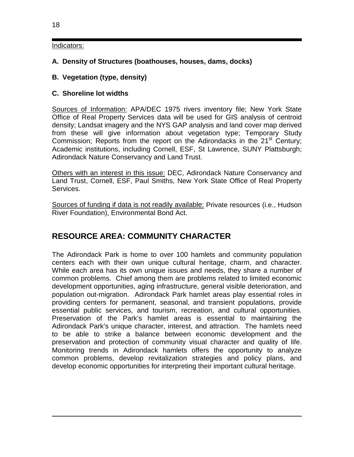## Indicators:

## **A. Density of Structures (boathouses, houses, dams, docks)**

## **B. Vegetation (type, density)**

## **C. Shoreline lot widths**

Sources of Information: APA/DEC 1975 rivers inventory file; New York State Office of Real Property Services data will be used for GIS analysis of centroid density; Landsat imagery and the NYS GAP analysis and land cover map derived from these will give information about vegetation type; Temporary Study Commission; Reports from the report on the Adirondacks in the 21<sup>st</sup> Century; Academic institutions, including Cornell, ESF, St Lawrence, SUNY Plattsburgh; Adirondack Nature Conservancy and Land Trust.

Others with an interest in this issue: DEC, Adirondack Nature Conservancy and Land Trust, Cornell, ESF, Paul Smiths, New York State Office of Real Property Services.

Sources of funding if data is not readily available: Private resources (i.e., Hudson River Foundation), Environmental Bond Act.

# **RESOURCE AREA: COMMUNITY CHARACTER**

The Adirondack Park is home to over 100 hamlets and community population centers each with their own unique cultural heritage, charm, and character. While each area has its own unique issues and needs, they share a number of common problems. Chief among them are problems related to limited economic development opportunities, aging infrastructure, general visible deterioration, and population out-migration. Adirondack Park hamlet areas play essential roles in providing centers for permanent, seasonal, and transient populations, provide essential public services, and tourism, recreation, and cultural opportunities. Preservation of the Park's hamlet areas is essential to maintaining the Adirondack Park's unique character, interest, and attraction. The hamlets need to be able to strike a balance between economic development and the preservation and protection of community visual character and quality of life. Monitoring trends in Adirondack hamlets offers the opportunity to analyze common problems, develop revitalization strategies and policy plans, and develop economic opportunities for interpreting their important cultural heritage.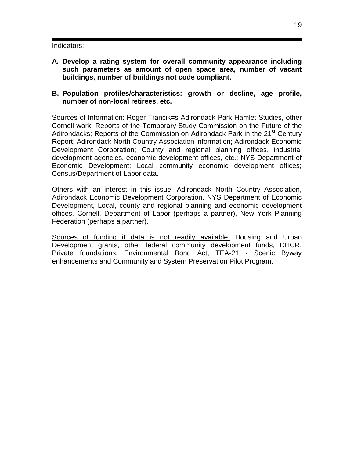#### Indicators:

- **A. Develop a rating system for overall community appearance including such parameters as amount of open space area, number of vacant buildings, number of buildings not code compliant.**
- **B. Population profiles/characteristics: growth or decline, age profile, number of non-local retirees, etc.**

Sources of Information: Roger Trancik=s Adirondack Park Hamlet Studies, other Cornell work; Reports of the Temporary Study Commission on the Future of the Adirondacks; Reports of the Commission on Adirondack Park in the 21<sup>st</sup> Century Report; Adirondack North Country Association information; Adirondack Economic Development Corporation; County and regional planning offices, industrial development agencies, economic development offices, etc.; NYS Department of Economic Development; Local community economic development offices; Census/Department of Labor data.

Others with an interest in this issue: Adirondack North Country Association, Adirondack Economic Development Corporation, NYS Department of Economic Development, Local, county and regional planning and economic development offices, Cornell, Department of Labor (perhaps a partner), New York Planning Federation (perhaps a partner).

Sources of funding if data is not readily available: Housing and Urban Development grants, other federal community development funds, DHCR, Private foundations, Environmental Bond Act, TEA-21 - Scenic Byway enhancements and Community and System Preservation Pilot Program.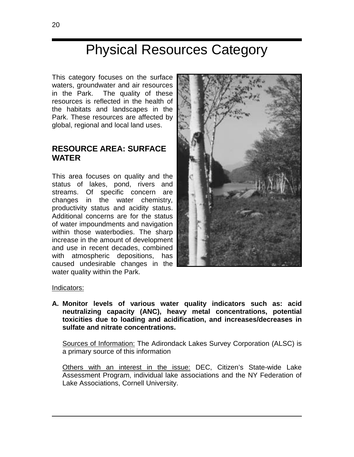# Physical Resources Category

This category focuses on the surface waters, groundwater and air resources in the Park. The quality of these resources is reflected in the health of the habitats and landscapes in the Park. These resources are affected by global, regional and local land uses.

# **RESOURCE AREA: SURFACE WATER**

This area focuses on quality and the status of lakes, pond, rivers and streams. Of specific concern are changes in the water chemistry, productivity status and acidity status. Additional concerns are for the status of water impoundments and navigation within those waterbodies. The sharp increase in the amount of development and use in recent decades, combined with atmospheric depositions, has caused undesirable changes in the water quality within the Park.



#### Indicators:

**A. Monitor levels of various water quality indicators such as: acid neutralizing capacity (ANC), heavy metal concentrations, potential toxicities due to loading and acidification, and increases/decreases in sulfate and nitrate concentrations.** 

Sources of Information: The Adirondack Lakes Survey Corporation (ALSC) is a primary source of this information

Others with an interest in the issue: DEC, Citizen's State-wide Lake Assessment Program, individual lake associations and the NY Federation of Lake Associations, Cornell University.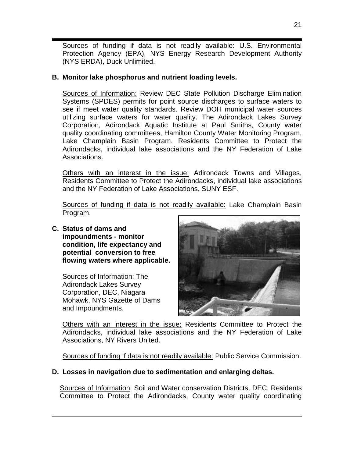Sources of funding if data is not readily available: U.S. Environmental Protection Agency (EPA), NYS Energy Research Development Authority (NYS ERDA), Duck Unlimited.

## **B. Monitor lake phosphorus and nutrient loading levels.**

Sources of Information: Review DEC State Pollution Discharge Elimination Systems (SPDES) permits for point source discharges to surface waters to see if meet water quality standards. Review DOH municipal water sources utilizing surface waters for water quality. The Adirondack Lakes Survey Corporation, Adirondack Aquatic Institute at Paul Smiths, County water quality coordinating committees, Hamilton County Water Monitoring Program, Lake Champlain Basin Program. Residents Committee to Protect the Adirondacks, individual lake associations and the NY Federation of Lake Associations.

Others with an interest in the issue: Adirondack Towns and Villages, Residents Committee to Protect the Adirondacks, individual lake associations and the NY Federation of Lake Associations, SUNY ESF.

Sources of funding if data is not readily available: Lake Champlain Basin Program.

**C. Status of dams and impoundments - monitor condition, life expectancy and potential conversion to free flowing waters where applicable.** 

Sources of Information: The Adirondack Lakes Survey Corporation, DEC, Niagara Mohawk, NYS Gazette of Dams and Impoundments.



Others with an interest in the issue: Residents Committee to Protect the Adirondacks, individual lake associations and the NY Federation of Lake Associations, NY Rivers United.

Sources of funding if data is not readily available: Public Service Commission.

# **D. Losses in navigation due to sedimentation and enlarging deltas.**

Sources of Information: Soil and Water conservation Districts, DEC, Residents Committee to Protect the Adirondacks, County water quality coordinating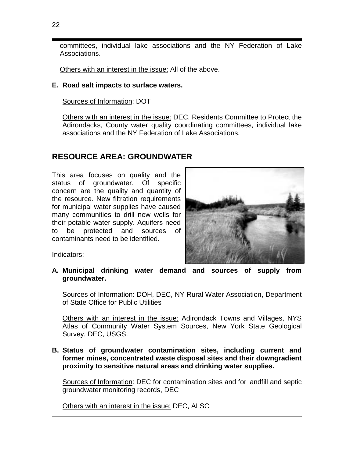committees, individual lake associations and the NY Federation of Lake Associations.

Others with an interest in the issue: All of the above.

## **E. Road salt impacts to surface waters.**

Sources of Information: DOT

Others with an interest in the issue: DEC, Residents Committee to Protect the Adirondacks, County water quality coordinating committees, individual lake associations and the NY Federation of Lake Associations.

# **RESOURCE AREA: GROUNDWATER**

This area focuses on quality and the status of groundwater. Of specific concern are the quality and quantity of the resource. New filtration requirements for municipal water supplies have caused many communities to drill new wells for their potable water supply. Aquifers need to be protected and sources of contaminants need to be identified.



Indicators:

**A. Municipal drinking water demand and sources of supply from groundwater.** 

Sources of Information: DOH, DEC, NY Rural Water Association, Department of State Office for Public Utilities

Others with an interest in the issue: Adirondack Towns and Villages, NYS Atlas of Community Water System Sources, New York State Geological Survey, DEC, USGS.

**B. Status of groundwater contamination sites, including current and former mines, concentrated waste disposal sites and their downgradient proximity to sensitive natural areas and drinking water supplies.** 

Sources of Information: DEC for contamination sites and for landfill and septic groundwater monitoring records, DEC

Others with an interest in the issue: DEC, ALSC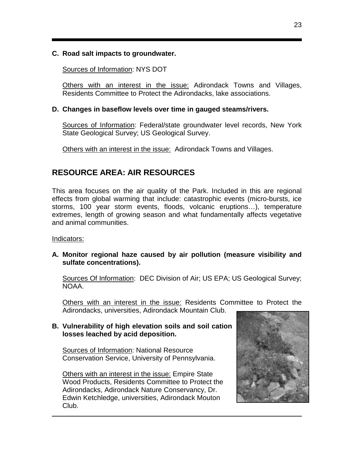## **C. Road salt impacts to groundwater.**

Sources of Information: NYS DOT

Others with an interest in the issue: Adirondack Towns and Villages, Residents Committee to Protect the Adirondacks, lake associations.

## **D. Changes in baseflow levels over time in gauged steams/rivers.**

Sources of Information: Federal/state groundwater level records, New York State Geological Survey; US Geological Survey.

Others with an interest in the issue: Adirondack Towns and Villages.

# **RESOURCE AREA: AIR RESOURCES**

This area focuses on the air quality of the Park. Included in this are regional effects from global warming that include: catastrophic events (micro-bursts, ice storms, 100 year storm events, floods, volcanic eruptions…), temperature extremes, length of growing season and what fundamentally affects vegetative and animal communities.

Indicators:

**A. Monitor regional haze caused by air pollution (measure visibility and sulfate concentrations).** 

Sources Of Information: DEC Division of Air; US EPA; US Geological Survey; NOAA.

Others with an interest in the issue: Residents Committee to Protect the Adirondacks, universities, Adirondack Mountain Club.

## **B. Vulnerability of high elevation soils and soil cation losses leached by acid deposition.**

Sources of Information: National Resource Conservation Service, University of Pennsylvania.

Others with an interest in the issue: Empire State Wood Products, Residents Committee to Protect the Adirondacks, Adirondack Nature Conservancy, Dr. Edwin Ketchledge, universities, Adirondack Mouton Club.

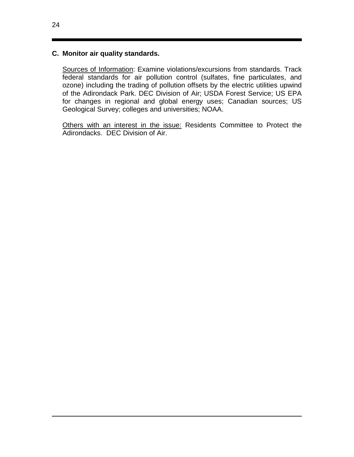## **C. Monitor air quality standards.**

Sources of Information: Examine violations/excursions from standards. Track federal standards for air pollution control (sulfates, fine particulates, and ozone) including the trading of pollution offsets by the electric utilities upwind of the Adirondack Park. DEC Division of Air; USDA Forest Service; US EPA for changes in regional and global energy uses; Canadian sources; US Geological Survey; colleges and universities; NOAA.

Others with an interest in the issue: Residents Committee to Protect the Adirondacks. DEC Division of Air.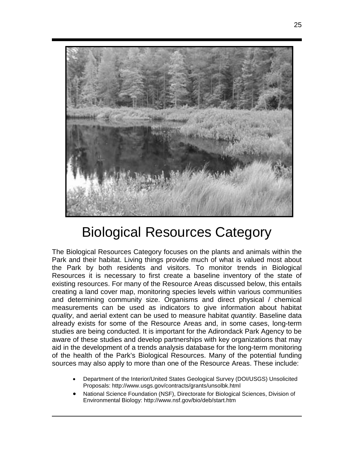

# Biological Resources Category

The Biological Resources Category focuses on the plants and animals within the Park and their habitat. Living things provide much of what is valued most about the Park by both residents and visitors. To monitor trends in Biological Resources it is necessary to first create a baseline inventory of the state of existing resources. For many of the Resource Areas discussed below, this entails creating a land cover map, monitoring species levels within various communities and determining community size. Organisms and direct physical / chemical measurements can be used as indicators to give information about habitat *quality*, and aerial extent can be used to measure habitat *quantity*. Baseline data already exists for some of the Resource Areas and, in some cases, long-term studies are being conducted. It is important for the Adirondack Park Agency to be aware of these studies and develop partnerships with key organizations that may aid in the development of a trends analysis database for the long-term monitoring of the health of the Park's Biological Resources. Many of the potential funding sources may also apply to more than one of the Resource Areas. These include:

- Department of the Interior/United States Geological Survey (DOI/USGS) Unsolicited Proposals: http://www.usgs.gov/contracts/grants/unsolbk.html
- National Science Foundation (NSF), Directorate for Biological Sciences, Division of Environmental Biology: http://www.nsf.gov/bio/deb/start.htm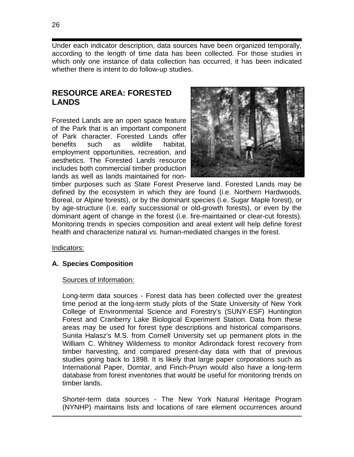Under each indicator description, data sources have been organized temporally, according to the length of time data has been collected. For those studies in which only one instance of data collection has occurred, it has been indicated whether there is intent to do follow-up studies.

# **RESOURCE AREA: FORESTED LANDS**

Forested Lands are an open space feature of the Park that is an important component of Park character. Forested Lands offer benefits such as wildlife habitat, employment opportunities, recreation, and aesthetics. The Forested Lands resource includes both commercial timber production lands as well as lands maintained for non-



timber purposes such as State Forest Preserve land. Forested Lands may be defined by the ecosystem in which they are found (i.e. Northern Hardwoods, Boreal, or Alpine forests), or by the dominant species (i.e. Sugar Maple forest), or by age-structure (i.e. early successional or old-growth forests), or even by the dominant agent of change in the forest (i.e. fire-maintained or clear-cut forests). Monitoring trends in species composition and areal extent will help define forest health and characterize natural *vs.* human-mediated changes in the forest.

Indicators:

## **A. Species Composition**

## Sources of Information:

Long-term data sources - Forest data has been collected over the greatest time period at the long-term study plots of the State University of New York College of Environmental Science and Forestry's (SUNY-ESF) Huntington Forest and Cranberry Lake Biological Experiment Station. Data from these areas may be used for forest type descriptions and historical comparisons. Sunita Halasz's M.S. from Cornell University set up permanent plots in the William C. Whitney Wilderness to monitor Adirondack forest recovery from timber harvesting, and compared present-day data with that of previous studies going back to 1898. It is likely that large paper corporations such as International Paper, Domtar, and Finch-Pruyn would also have a long-term database from forest inventories that would be useful for monitoring trends on timber lands.

Shorter-term data sources - The New York Natural Heritage Program (NYNHP) maintains lists and locations of rare element occurrences around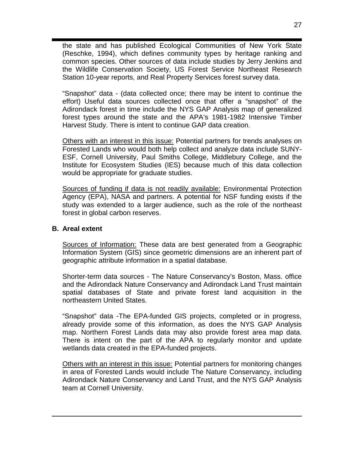the state and has published Ecological Communities of New York State (Reschke, 1994), which defines community types by heritage ranking and common species. Other sources of data include studies by Jerry Jenkins and the Wildlife Conservation Society, US Forest Service Northeast Research Station 10-year reports, and Real Property Services forest survey data.

"Snapshot" data - (data collected once; there may be intent to continue the effort) Useful data sources collected once that offer a "snapshot" of the Adirondack forest in time include the NYS GAP Analysis map of generalized forest types around the state and the APA's 1981-1982 Intensive Timber Harvest Study. There is intent to continue GAP data creation.

Others with an interest in this issue: Potential partners for trends analyses on Forested Lands who would both help collect and analyze data include SUNY-ESF, Cornell University, Paul Smiths College, Middlebury College, and the Institute for Ecosystem Studies (IES) because much of this data collection would be appropriate for graduate studies.

Sources of funding if data is not readily available: Environmental Protection Agency (EPA), NASA and partners. A potential for NSF funding exists if the study was extended to a larger audience, such as the role of the northeast forest in global carbon reserves.

## **B. Areal extent**

Sources of Information: These data are best generated from a Geographic Information System (GIS) since geometric dimensions are an inherent part of geographic attribute information in a spatial database.

Shorter-term data sources - The Nature Conservancy's Boston, Mass. office and the Adirondack Nature Conservancy and Adirondack Land Trust maintain spatial databases of State and private forest land acquisition in the northeastern United States.

"Snapshot" data -The EPA-funded GIS projects, completed or in progress, already provide some of this information, as does the NYS GAP Analysis map. Northern Forest Lands data may also provide forest area map data. There is intent on the part of the APA to regularly monitor and update wetlands data created in the EPA-funded projects.

Others with an interest in this issue: Potential partners for monitoring changes in area of Forested Lands would include The Nature Conservancy, including Adirondack Nature Conservancy and Land Trust, and the NYS GAP Analysis team at Cornell University.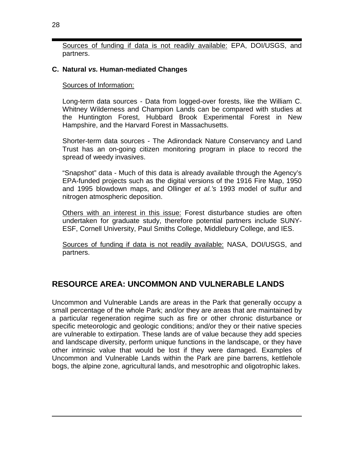Sources of funding if data is not readily available: EPA, DOI/USGS, and partners.

## **C. Natural** *vs.* **Human-mediated Changes**

Sources of Information:

Long-term data sources - Data from logged-over forests, like the William C. Whitney Wilderness and Champion Lands can be compared with studies at the Huntington Forest, Hubbard Brook Experimental Forest in New Hampshire, and the Harvard Forest in Massachusetts.

Shorter-term data sources - The Adirondack Nature Conservancy and Land Trust has an on-going citizen monitoring program in place to record the spread of weedy invasives.

"Snapshot" data - Much of this data is already available through the Agency's EPA-funded projects such as the digital versions of the 1916 Fire Map, 1950 and 1995 blowdown maps, and Ollinger *et al.'s* 1993 model of sulfur and nitrogen atmospheric deposition.

Others with an interest in this issue: Forest disturbance studies are often undertaken for graduate study, therefore potential partners include SUNY-ESF, Cornell University, Paul Smiths College, Middlebury College, and IES.

Sources of funding if data is not readily available: NASA, DOI/USGS, and partners.

# **RESOURCE AREA: UNCOMMON AND VULNERABLE LANDS**

Uncommon and Vulnerable Lands are areas in the Park that generally occupy a small percentage of the whole Park; and/or they are areas that are maintained by a particular regeneration regime such as fire or other chronic disturbance or specific meteorologic and geologic conditions; and/or they or their native species are vulnerable to extirpation. These lands are of value because they add species and landscape diversity, perform unique functions in the landscape, or they have other intrinsic value that would be lost if they were damaged. Examples of Uncommon and Vulnerable Lands within the Park are pine barrens, kettlehole bogs, the alpine zone, agricultural lands, and mesotrophic and oligotrophic lakes.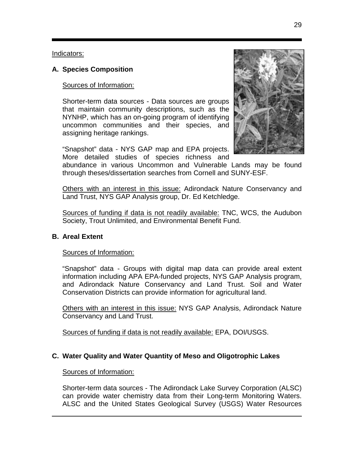Indicators:

## **A. Species Composition**

## Sources of Information:

Shorter-term data sources - Data sources are groups that maintain community descriptions, such as the NYNHP, which has an on-going program of identifying uncommon communities and their species, and assigning heritage rankings.

"Snapshot" data - NYS GAP map and EPA projects. More detailed studies of species richness and



abundance in various Uncommon and Vulnerable Lands may be found through theses/dissertation searches from Cornell and SUNY-ESF.

Others with an interest in this issue: Adirondack Nature Conservancy and Land Trust, NYS GAP Analysis group, Dr. Ed Ketchledge.

Sources of funding if data is not readily available: TNC, WCS, the Audubon Society, Trout Unlimited, and Environmental Benefit Fund.

## **B. Areal Extent**

#### Sources of Information:

"Snapshot" data - Groups with digital map data can provide areal extent information including APA EPA-funded projects, NYS GAP Analysis program, and Adirondack Nature Conservancy and Land Trust. Soil and Water Conservation Districts can provide information for agricultural land.

Others with an interest in this issue: NYS GAP Analysis, Adirondack Nature Conservancy and Land Trust.

Sources of funding if data is not readily available: EPA, DOI/USGS.

## **C. Water Quality and Water Quantity of Meso and Oligotrophic Lakes**

#### Sources of Information:

Shorter-term data sources - The Adirondack Lake Survey Corporation (ALSC) can provide water chemistry data from their Long-term Monitoring Waters. ALSC and the United States Geological Survey (USGS) Water Resources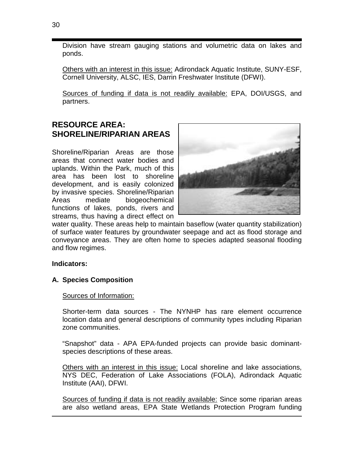Division have stream gauging stations and volumetric data on lakes and ponds.

Others with an interest in this issue: Adirondack Aquatic Institute, SUNY-ESF, Cornell University, ALSC, IES, Darrin Freshwater Institute (DFWI).

Sources of funding if data is not readily available: EPA, DOI/USGS, and partners.

# **RESOURCE AREA: SHORELINE/RIPARIAN AREAS**

Shoreline/Riparian Areas are those areas that connect water bodies and uplands. Within the Park, much of this area has been lost to shoreline development, and is easily colonized by invasive species. Shoreline/Riparian Areas mediate biogeochemical functions of lakes, ponds, rivers and streams, thus having a direct effect on



water quality. These areas help to maintain baseflow (water quantity stabilization) of surface water features by groundwater seepage and act as flood storage and conveyance areas. They are often home to species adapted seasonal flooding and flow regimes.

## **Indicators:**

## **A. Species Composition**

Sources of Information:

Shorter-term data sources - The NYNHP has rare element occurrence location data and general descriptions of community types including Riparian zone communities.

"Snapshot" data - APA EPA-funded projects can provide basic dominantspecies descriptions of these areas.

Others with an interest in this issue: Local shoreline and lake associations, NYS DEC, Federation of Lake Associations (FOLA), Adirondack Aquatic Institute (AAI), DFWI.

Sources of funding if data is not readily available: Since some riparian areas are also wetland areas, EPA State Wetlands Protection Program funding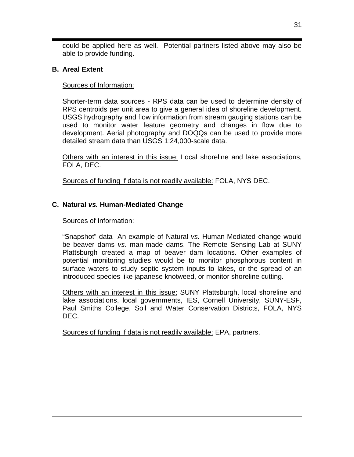could be applied here as well. Potential partners listed above may also be able to provide funding.

## **B. Areal Extent**

## Sources of Information:

Shorter-term data sources - RPS data can be used to determine density of RPS centroids per unit area to give a general idea of shoreline development. USGS hydrography and flow information from stream gauging stations can be used to monitor water feature geometry and changes in flow due to development. Aerial photography and DOQQs can be used to provide more detailed stream data than USGS 1:24,000-scale data.

Others with an interest in this issue: Local shoreline and lake associations, FOLA, DEC.

Sources of funding if data is not readily available: FOLA, NYS DEC.

# **C. Natural** *vs.* **Human-Mediated Change**

## Sources of Information:

"Snapshot" data -An example of Natural *vs.* Human-Mediated change would be beaver dams *vs.* man-made dams. The Remote Sensing Lab at SUNY Plattsburgh created a map of beaver dam locations. Other examples of potential monitoring studies would be to monitor phosphorous content in surface waters to study septic system inputs to lakes, or the spread of an introduced species like japanese knotweed, or monitor shoreline cutting.

Others with an interest in this issue: SUNY Plattsburgh, local shoreline and lake associations, local governments, IES, Cornell University, SUNY-ESF, Paul Smiths College, Soil and Water Conservation Districts, FOLA, NYS DEC.

Sources of funding if data is not readily available: EPA, partners.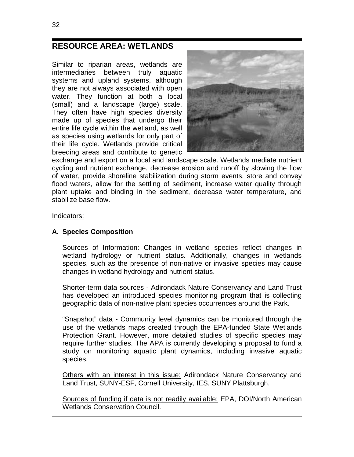# **RESOURCE AREA: WETLANDS**

Similar to riparian areas, wetlands are intermediaries between truly aquatic systems and upland systems, although they are not always associated with open water. They function at both a local (small) and a landscape (large) scale. They often have high species diversity made up of species that undergo their entire life cycle within the wetland, as well as species using wetlands for only part of their life cycle. Wetlands provide critical breeding areas and contribute to genetic



exchange and export on a local and landscape scale. Wetlands mediate nutrient cycling and nutrient exchange, decrease erosion and runoff by slowing the flow of water, provide shoreline stabilization during storm events, store and convey flood waters, allow for the settling of sediment, increase water quality through plant uptake and binding in the sediment, decrease water temperature, and stabilize base flow.

#### Indicators:

### **A. Species Composition**

Sources of Information: Changes in wetland species reflect changes in wetland hydrology or nutrient status. Additionally, changes in wetlands species, such as the presence of non-native or invasive species may cause changes in wetland hydrology and nutrient status.

Shorter-term data sources - Adirondack Nature Conservancy and Land Trust has developed an introduced species monitoring program that is collecting geographic data of non-native plant species occurrences around the Park.

"Snapshot" data - Community level dynamics can be monitored through the use of the wetlands maps created through the EPA-funded State Wetlands Protection Grant. However, more detailed studies of specific species may require further studies. The APA is currently developing a proposal to fund a study on monitoring aquatic plant dynamics, including invasive aquatic species.

Others with an interest in this issue: Adirondack Nature Conservancy and Land Trust, SUNY-ESF, Cornell University, IES, SUNY Plattsburgh.

Sources of funding if data is not readily available: EPA, DOI/North American Wetlands Conservation Council.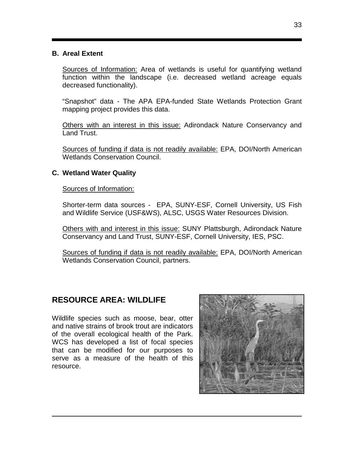## **B. Areal Extent**

Sources of Information: Area of wetlands is useful for quantifying wetland function within the landscape (i.e. decreased wetland acreage equals decreased functionality).

"Snapshot" data - The APA EPA-funded State Wetlands Protection Grant mapping project provides this data.

Others with an interest in this issue: Adirondack Nature Conservancy and Land Trust.

Sources of funding if data is not readily available: EPA, DOI/North American Wetlands Conservation Council.

## **C. Wetland Water Quality**

Sources of Information:

Shorter-term data sources - EPA, SUNY-ESF, Cornell University, US Fish and Wildlife Service (USF&WS), ALSC, USGS Water Resources Division.

Others with and interest in this issue: SUNY Plattsburgh, Adirondack Nature Conservancy and Land Trust, SUNY-ESF, Cornell University, IES, PSC.

Sources of funding if data is not readily available: EPA, DOI/North American Wetlands Conservation Council, partners.

# **RESOURCE AREA: WILDLIFE**

Wildlife species such as moose, bear, otter and native strains of brook trout are indicators of the overall ecological health of the Park. WCS has developed a list of focal species that can be modified for our purposes to serve as a measure of the health of this resource.

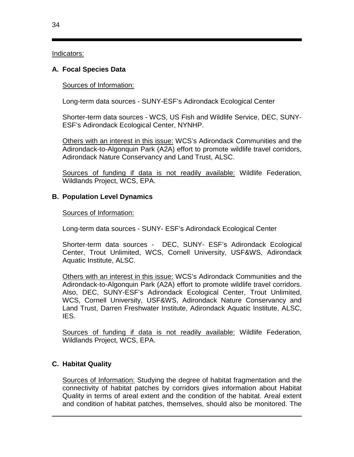Indicators:

## **A. Focal Species Data**

## Sources of Information:

Long-term data sources - SUNY-ESF's Adirondack Ecological Center

Shorter-term data sources - WCS, US Fish and Wildlife Service, DEC, SUNY-ESF's Adirondack Ecological Center, NYNHP.

Others with an interest in this issue: WCS's Adirondack Communities and the Adirondack-to-Algonquin Park (A2A) effort to promote wildlife travel corridors, Adirondack Nature Conservancy and Land Trust, ALSC.

Sources of funding if data is not readily available: Wildlife Federation, Wildlands Project, WCS, EPA.

## **B. Population Level Dynamics**

### Sources of Information:

Long-term data sources - SUNY- ESF's Adirondack Ecological Center

Shorter-term data sources - DEC, SUNY- ESF's Adirondack Ecological Center, Trout Unlimited, WCS, Cornell University, USF&WS, Adirondack Aquatic Institute, ALSC.

Others with an interest in this issue: WCS's Adirondack Communities and the Adirondack-to-Algonquin Park (A2A) effort to promote wildlife travel corridors. Also, DEC, SUNY-ESF's Adirondack Ecological Center, Trout Unlimited, WCS, Cornell University, USF&WS, Adirondack Nature Conservancy and Land Trust, Darren Freshwater Institute, Adirondack Aquatic Institute, ALSC, IES.

Sources of funding if data is not readily available: Wildlife Federation, Wildlands Project, WCS, EPA.

## **C. Habitat Quality**

Sources of Information: Studying the degree of habitat fragmentation and the connectivity of habitat patches by corridors gives information about Habitat Quality in terms of areal extent and the condition of the habitat. Areal extent and condition of habitat patches, themselves, should also be monitored. The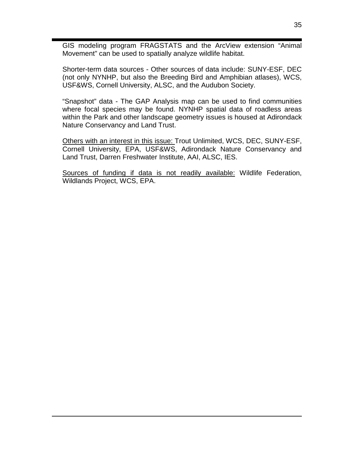GIS modeling program FRAGSTATS and the ArcView extension "Animal Movement" can be used to spatially analyze wildlife habitat.

Shorter-term data sources - Other sources of data include: SUNY-ESF, DEC (not only NYNHP, but also the Breeding Bird and Amphibian atlases), WCS, USF&WS, Cornell University, ALSC, and the Audubon Society.

"Snapshot" data - The GAP Analysis map can be used to find communities where focal species may be found. NYNHP spatial data of roadless areas within the Park and other landscape geometry issues is housed at Adirondack Nature Conservancy and Land Trust.

Others with an interest in this issue: Trout Unlimited, WCS, DEC, SUNY-ESF, Cornell University, EPA, USF&WS, Adirondack Nature Conservancy and Land Trust, Darren Freshwater Institute, AAI, ALSC, IES.

Sources of funding if data is not readily available: Wildlife Federation, Wildlands Project, WCS, EPA.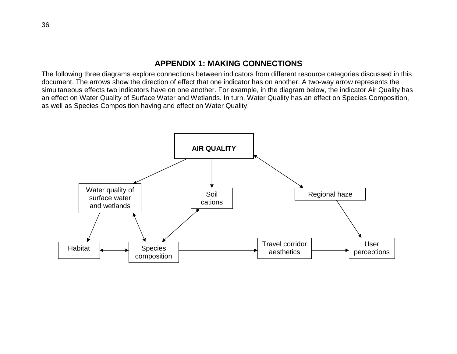## **APPENDIX 1: MAKING CONNECTIONS**

The following three diagrams explore connections between indicators from different resource categories discussed in this document. The arrows show the direction of effect that one indicator has on another. A two-way arrow represents the simultaneous effects two indicators have on one another. For example, in the diagram below, the indicator Air Quality has an effect on Water Quality of Surface Water and Wetlands. In turn, Water Quality has an effect on Species Composition, as well as Species Composition having and effect on Water Quality.

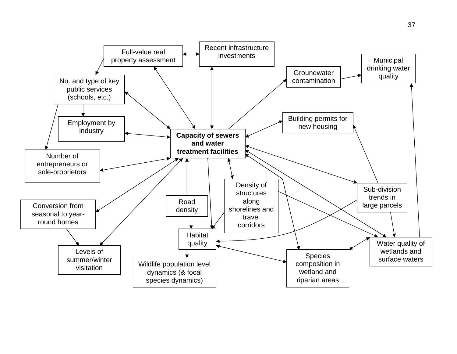